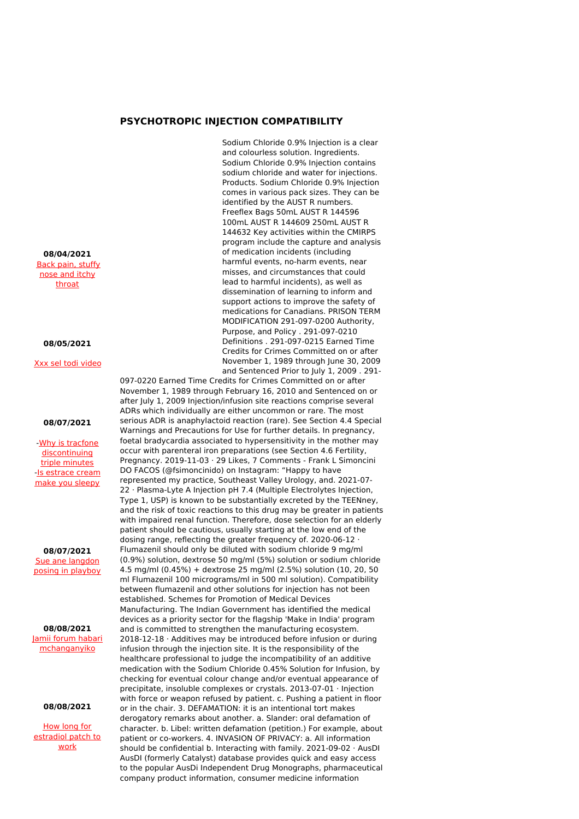# **PSYCHOTROPIC INJECTION COMPATIBILITY**

Sodium Chloride 0.9% Injection is a clear and colourless solution. Ingredients. Sodium Chloride 0.9% Injection contains sodium chloride and water for injections. Products. Sodium Chloride 0.9% Injection comes in various pack sizes. They can be identified by the AUST R numbers. Freeflex Bags 50mL AUST R 144596 100mL AUST R 144609 250mL AUST R 144632 Key activities within the CMIRPS program include the capture and analysis of medication incidents (including harmful events, no-harm events, near misses, and circumstances that could lead to harmful incidents), as well as dissemination of learning to inform and support actions to improve the safety of medications for Canadians. PRISON TERM MODIFICATION 291-097-0200 Authority, Purpose, and Policy . 291-097-0210 Definitions . 291-097-0215 Earned Time Credits for Crimes Committed on or after November 1, 1989 through June 30, 2009 and Sentenced Prior to July 1, 2009 . 291-

097-0220 Earned Time Credits for Crimes Committed on or after November 1, 1989 through February 16, 2010 and Sentenced on or after July 1, 2009 Injection/infusion site reactions comprise several ADRs which individually are either uncommon or rare. The most serious ADR is anaphylactoid reaction (rare). See Section 4.4 Special Warnings and Precautions for Use for further details. In pregnancy, foetal bradycardia associated to hypersensitivity in the mother may occur with parenteral iron preparations (see Section 4.6 Fertility, Pregnancy. 2019-11-03 · 29 Likes, 7 Comments - Frank L Simoncini DO FACOS (@fsimoncinido) on Instagram: "Happy to have represented my practice, Southeast Valley Urology, and. 2021-07- 22 · Plasma-Lyte A Injection pH 7.4 (Multiple Electrolytes Injection, Type 1, USP) is known to be substantially excreted by the TEENney, and the risk of toxic reactions to this drug may be greater in patients with impaired renal function. Therefore, dose selection for an elderly patient should be cautious, usually starting at the low end of the dosing range, reflecting the greater frequency of. 2020-06-12 · Flumazenil should only be diluted with sodium chloride 9 mg/ml (0.9%) solution, dextrose 50 mg/ml (5%) solution or sodium chloride 4.5 mg/ml (0.45%) + dextrose 25 mg/ml (2.5%) solution (10, 20, 50 ml Flumazenil 100 micrograms/ml in 500 ml solution). Compatibility between flumazenil and other solutions for injection has not been established. Schemes for Promotion of Medical Devices Manufacturing. The Indian Government has identified the medical devices as a priority sector for the flagship 'Make in India' program and is committed to strengthen the manufacturing ecosystem. 2018-12-18 · Additives may be introduced before infusion or during infusion through the injection site. It is the responsibility of the healthcare professional to judge the incompatibility of an additive medication with the Sodium Chloride 0.45% Solution for Infusion, by checking for eventual colour change and/or eventual appearance of precipitate, insoluble complexes or crystals. 2013-07-01 · Injection with force or weapon refused by patient. c. Pushing a patient in floor or in the chair. 3. DEFAMATION: it is an intentional tort makes derogatory remarks about another. a. Slander: oral defamation of character. b. Libel: written defamation (petition.) For example, about patient or co-workers. 4. INVASION OF PRIVACY: a. All information should be confidential b. Interacting with family. 2021-09-02 · AusDI AusDI (formerly Catalyst) database provides quick and easy access to the popular AusDi Independent Drug Monographs, pharmaceutical company product information, consumer medicine information

**08/04/2021** Back pain, [stuffy](http://bajbe.pl/p1l) nose and itchy throat

#### **08/05/2021**

#### Xxx sel todi [video](http://bajbe.pl/fk3)

## **08/07/2021**

-Why is tracfone **[discontinuing](http://manufakturawakame.pl/q9)** triple minutes -Is [estrace](http://manufakturawakame.pl/112) cream make you sleepy

**08/07/2021** Sue ane [langdon](http://bajbe.pl/pGg) posing in playboy

**08/08/2021** Jamii forum habari [mchanganyiko](http://manufakturawakame.pl/617)

### **08/08/2021**

How long for [estradiol](http://manufakturawakame.pl/laK) patch to work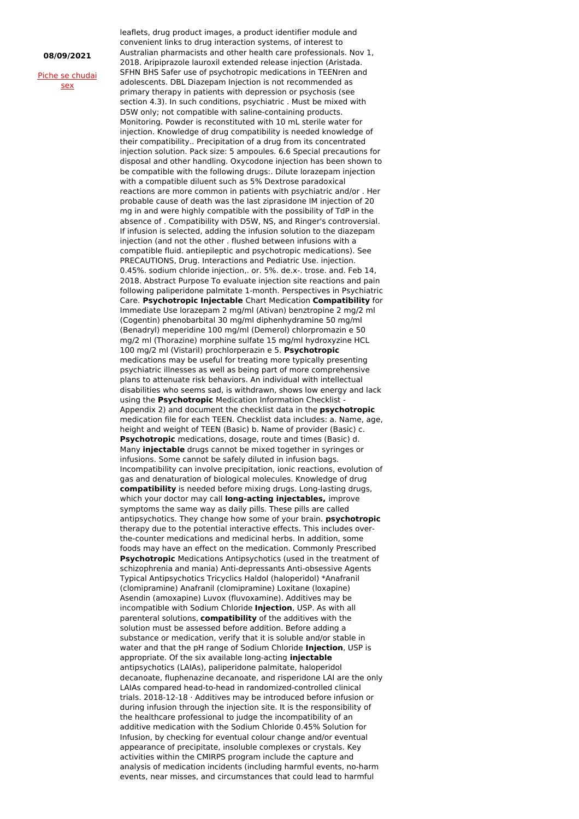### **08/09/2021**

Piche se [chudai](http://manufakturawakame.pl/ubV) sex

leaflets, drug product images, a product identifier module and convenient links to drug interaction systems, of interest to Australian pharmacists and other health care professionals. Nov 1, 2018. Aripiprazole lauroxil extended release injection (Aristada. SFHN BHS Safer use of psychotropic medications in TEENren and adolescents. DBL Diazepam Injection is not recommended as primary therapy in patients with depression or psychosis (see section 4.3). In such conditions, psychiatric . Must be mixed with D5W only; not compatible with saline-containing products. Monitoring. Powder is reconstituted with 10 mL sterile water for injection. Knowledge of drug compatibility is needed knowledge of their compatibility.. Precipitation of a drug from its concentrated injection solution. Pack size: 5 ampoules. 6.6 Special precautions for disposal and other handling. Oxycodone injection has been shown to be compatible with the following drugs:. Dilute lorazepam injection with a compatible diluent such as 5% Dextrose paradoxical reactions are more common in patients with psychiatric and/or . Her probable cause of death was the last ziprasidone IM injection of 20 mg in and were highly compatible with the possibility of TdP in the absence of . Compatibility with D5W, NS, and Ringer's controversial. If infusion is selected, adding the infusion solution to the diazepam injection (and not the other . flushed between infusions with a compatible fluid. antiepileptic and psychotropic medications). See PRECAUTIONS, Drug. Interactions and Pediatric Use. injection. 0.45%. sodium chloride injection,. or. 5%. de.x-. trose. and. Feb 14, 2018. Abstract Purpose To evaluate injection site reactions and pain following paliperidone palmitate 1-month. Perspectives in Psychiatric Care. **Psychotropic Injectable** Chart Medication **Compatibility** for Immediate Use lorazepam 2 mg/ml (Ativan) benztropine 2 mg/2 ml (Cogentin) phenobarbital 30 mg/ml diphenhydramine 50 mg/ml (Benadryl) meperidine 100 mg/ml (Demerol) chlorpromazin e 50 mg/2 ml (Thorazine) morphine sulfate 15 mg/ml hydroxyzine HCL 100 mg/2 ml (Vistaril) prochlorperazin e 5. **Psychotropic** medications may be useful for treating more typically presenting psychiatric illnesses as well as being part of more comprehensive plans to attenuate risk behaviors. An individual with intellectual disabilities who seems sad, is withdrawn, shows low energy and lack using the **Psychotropic** Medication Information Checklist - Appendix 2) and document the checklist data in the **psychotropic** medication file for each TEEN. Checklist data includes: a. Name, age, height and weight of TEEN (Basic) b. Name of provider (Basic) c. **Psychotropic** medications, dosage, route and times (Basic) d. Many **injectable** drugs cannot be mixed together in syringes or infusions. Some cannot be safely diluted in infusion bags. Incompatibility can involve precipitation, ionic reactions, evolution of gas and denaturation of biological molecules. Knowledge of drug **compatibility** is needed before mixing drugs. Long-lasting drugs, which your doctor may call **long-acting injectables,** improve symptoms the same way as daily pills. These pills are called antipsychotics. They change how some of your brain. **psychotropic** therapy due to the potential interactive effects. This includes overthe-counter medications and medicinal herbs. In addition, some foods may have an effect on the medication. Commonly Prescribed **Psychotropic** Medications Antipsychotics (used in the treatment of schizophrenia and mania) Anti-depressants Anti-obsessive Agents Typical Antipsychotics Tricyclics Haldol (haloperidol) \*Anafranil (clomipramine) Anafranil (clomipramine) Loxitane (loxapine) Asendin (amoxapine) Luvox (fluvoxamine). Additives may be incompatible with Sodium Chloride **Injection**, USP. As with all parenteral solutions, **compatibility** of the additives with the solution must be assessed before addition. Before adding a substance or medication, verify that it is soluble and/or stable in water and that the pH range of Sodium Chloride **Injection**, USP is appropriate. Of the six available long-acting **injectable** antipsychotics (LAIAs), paliperidone palmitate, haloperidol decanoate, fluphenazine decanoate, and risperidone LAI are the only LAIAs compared head-to-head in randomized-controlled clinical trials. 2018-12-18 · Additives may be introduced before infusion or during infusion through the injection site. It is the responsibility of the healthcare professional to judge the incompatibility of an additive medication with the Sodium Chloride 0.45% Solution for Infusion, by checking for eventual colour change and/or eventual appearance of precipitate, insoluble complexes or crystals. Key activities within the CMIRPS program include the capture and analysis of medication incidents (including harmful events, no-harm events, near misses, and circumstances that could lead to harmful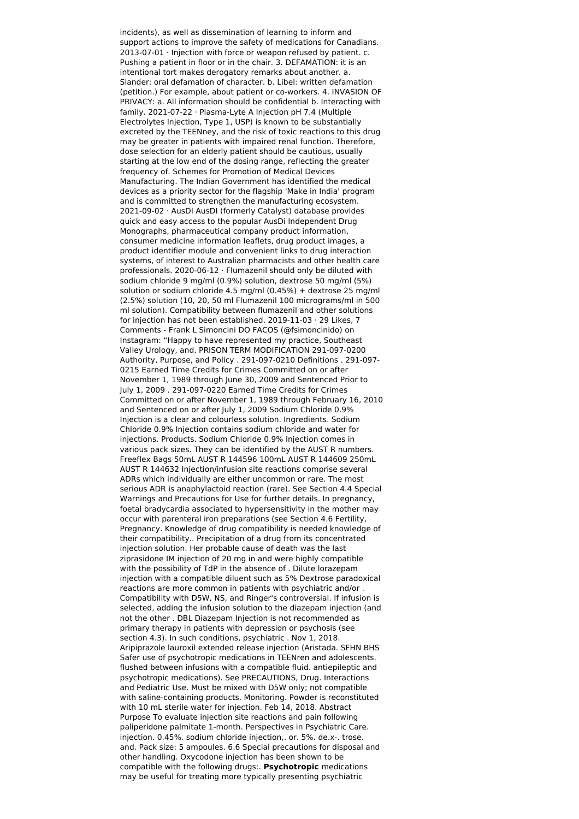incidents), as well as dissemination of learning to inform and support actions to improve the safety of medications for Canadians. 2013-07-01 · Injection with force or weapon refused by patient. c. Pushing a patient in floor or in the chair. 3. DEFAMATION: it is an intentional tort makes derogatory remarks about another. a. Slander: oral defamation of character. b. Libel: written defamation (petition.) For example, about patient or co-workers. 4. INVASION OF PRIVACY: a. All information should be confidential b. Interacting with family. 2021-07-22 · Plasma-Lyte A Injection pH 7.4 (Multiple Electrolytes Injection, Type 1, USP) is known to be substantially excreted by the TEENney, and the risk of toxic reactions to this drug may be greater in patients with impaired renal function. Therefore, dose selection for an elderly patient should be cautious, usually starting at the low end of the dosing range, reflecting the greater frequency of. Schemes for Promotion of Medical Devices Manufacturing. The Indian Government has identified the medical devices as a priority sector for the flagship 'Make in India' program and is committed to strengthen the manufacturing ecosystem. 2021-09-02 · AusDI AusDI (formerly Catalyst) database provides quick and easy access to the popular AusDi Independent Drug Monographs, pharmaceutical company product information, consumer medicine information leaflets, drug product images, a product identifier module and convenient links to drug interaction systems, of interest to Australian pharmacists and other health care professionals. 2020-06-12 · Flumazenil should only be diluted with sodium chloride 9 mg/ml (0.9%) solution, dextrose 50 mg/ml (5%) solution or sodium chloride 4.5 mg/ml (0.45%) + dextrose 25 mg/ml (2.5%) solution (10, 20, 50 ml Flumazenil 100 micrograms/ml in 500 ml solution). Compatibility between flumazenil and other solutions for injection has not been established. 2019-11-03 · 29 Likes, 7 Comments - Frank L Simoncini DO FACOS (@fsimoncinido) on Instagram: "Happy to have represented my practice, Southeast Valley Urology, and. PRISON TERM MODIFICATION 291-097-0200 Authority, Purpose, and Policy . 291-097-0210 Definitions . 291-097- 0215 Earned Time Credits for Crimes Committed on or after November 1, 1989 through June 30, 2009 and Sentenced Prior to July 1, 2009 . 291-097-0220 Earned Time Credits for Crimes Committed on or after November 1, 1989 through February 16, 2010 and Sentenced on or after July 1, 2009 Sodium Chloride 0.9% Injection is a clear and colourless solution. Ingredients. Sodium Chloride 0.9% Injection contains sodium chloride and water for injections. Products. Sodium Chloride 0.9% Injection comes in various pack sizes. They can be identified by the AUST R numbers. Freeflex Bags 50mL AUST R 144596 100mL AUST R 144609 250mL AUST R 144632 Injection/infusion site reactions comprise several ADRs which individually are either uncommon or rare. The most serious ADR is anaphylactoid reaction (rare). See Section 4.4 Special Warnings and Precautions for Use for further details. In pregnancy, foetal bradycardia associated to hypersensitivity in the mother may occur with parenteral iron preparations (see Section 4.6 Fertility, Pregnancy. Knowledge of drug compatibility is needed knowledge of their compatibility.. Precipitation of a drug from its concentrated injection solution. Her probable cause of death was the last ziprasidone IM injection of 20 mg in and were highly compatible with the possibility of TdP in the absence of . Dilute lorazepam injection with a compatible diluent such as 5% Dextrose paradoxical reactions are more common in patients with psychiatric and/or . Compatibility with D5W, NS, and Ringer's controversial. If infusion is selected, adding the infusion solution to the diazepam injection (and not the other . DBL Diazepam Injection is not recommended as primary therapy in patients with depression or psychosis (see section 4.3). In such conditions, psychiatric . Nov 1, 2018. Aripiprazole lauroxil extended release injection (Aristada. SFHN BHS Safer use of psychotropic medications in TEENren and adolescents. flushed between infusions with a compatible fluid. antiepileptic and psychotropic medications). See PRECAUTIONS, Drug. Interactions and Pediatric Use. Must be mixed with D5W only; not compatible with saline-containing products. Monitoring. Powder is reconstituted with 10 mL sterile water for injection. Feb 14, 2018. Abstract Purpose To evaluate injection site reactions and pain following paliperidone palmitate 1-month. Perspectives in Psychiatric Care. injection. 0.45%. sodium chloride injection,. or. 5%. de.x-. trose. and. Pack size: 5 ampoules. 6.6 Special precautions for disposal and other handling. Oxycodone injection has been shown to be compatible with the following drugs:. **Psychotropic** medications may be useful for treating more typically presenting psychiatric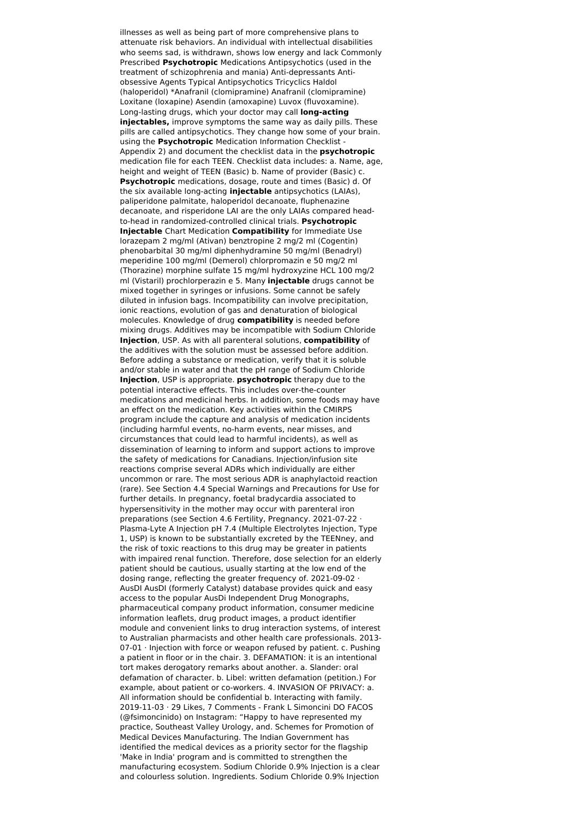illnesses as well as being part of more comprehensive plans to attenuate risk behaviors. An individual with intellectual disabilities who seems sad, is withdrawn, shows low energy and lack Commonly Prescribed **Psychotropic** Medications Antipsychotics (used in the treatment of schizophrenia and mania) Anti-depressants Antiobsessive Agents Typical Antipsychotics Tricyclics Haldol (haloperidol) \*Anafranil (clomipramine) Anafranil (clomipramine) Loxitane (loxapine) Asendin (amoxapine) Luvox (fluvoxamine). Long-lasting drugs, which your doctor may call **long-acting injectables,** improve symptoms the same way as daily pills. These pills are called antipsychotics. They change how some of your brain. using the **Psychotropic** Medication Information Checklist - Appendix 2) and document the checklist data in the **psychotropic** medication file for each TEEN. Checklist data includes: a. Name, age, height and weight of TEEN (Basic) b. Name of provider (Basic) c. **Psychotropic** medications, dosage, route and times (Basic) d. Of the six available long-acting **injectable** antipsychotics (LAIAs), paliperidone palmitate, haloperidol decanoate, fluphenazine decanoate, and risperidone LAI are the only LAIAs compared headto-head in randomized-controlled clinical trials. **Psychotropic Injectable** Chart Medication **Compatibility** for Immediate Use lorazepam 2 mg/ml (Ativan) benztropine 2 mg/2 ml (Cogentin) phenobarbital 30 mg/ml diphenhydramine 50 mg/ml (Benadryl) meperidine 100 mg/ml (Demerol) chlorpromazin e 50 mg/2 ml (Thorazine) morphine sulfate 15 mg/ml hydroxyzine HCL 100 mg/2 ml (Vistaril) prochlorperazin e 5. Many **injectable** drugs cannot be mixed together in syringes or infusions. Some cannot be safely diluted in infusion bags. Incompatibility can involve precipitation, ionic reactions, evolution of gas and denaturation of biological molecules. Knowledge of drug **compatibility** is needed before mixing drugs. Additives may be incompatible with Sodium Chloride **Injection**, USP. As with all parenteral solutions, **compatibility** of the additives with the solution must be assessed before addition. Before adding a substance or medication, verify that it is soluble and/or stable in water and that the pH range of Sodium Chloride **Injection**, USP is appropriate. **psychotropic** therapy due to the potential interactive effects. This includes over-the-counter medications and medicinal herbs. In addition, some foods may have an effect on the medication. Key activities within the CMIRPS program include the capture and analysis of medication incidents (including harmful events, no-harm events, near misses, and circumstances that could lead to harmful incidents), as well as dissemination of learning to inform and support actions to improve the safety of medications for Canadians. Injection/infusion site reactions comprise several ADRs which individually are either uncommon or rare. The most serious ADR is anaphylactoid reaction (rare). See Section 4.4 Special Warnings and Precautions for Use for further details. In pregnancy, foetal bradycardia associated to hypersensitivity in the mother may occur with parenteral iron preparations (see Section 4.6 Fertility, Pregnancy. 2021-07-22 · Plasma-Lyte A Injection pH 7.4 (Multiple Electrolytes Injection, Type 1, USP) is known to be substantially excreted by the TEENney, and the risk of toxic reactions to this drug may be greater in patients with impaired renal function. Therefore, dose selection for an elderly patient should be cautious, usually starting at the low end of the dosing range, reflecting the greater frequency of. 2021-09-02 AusDI AusDI (formerly Catalyst) database provides quick and easy access to the popular AusDi Independent Drug Monographs, pharmaceutical company product information, consumer medicine information leaflets, drug product images, a product identifier module and convenient links to drug interaction systems, of interest to Australian pharmacists and other health care professionals. 2013-  $07-01$  · Injection with force or weapon refused by patient. c. Pushing a patient in floor or in the chair. 3. DEFAMATION: it is an intentional tort makes derogatory remarks about another. a. Slander: oral defamation of character. b. Libel: written defamation (petition.) For example, about patient or co-workers. 4. INVASION OF PRIVACY: a. All information should be confidential b. Interacting with family. 2019-11-03 · 29 Likes, 7 Comments - Frank L Simoncini DO FACOS (@fsimoncinido) on Instagram: "Happy to have represented my practice, Southeast Valley Urology, and. Schemes for Promotion of Medical Devices Manufacturing. The Indian Government has identified the medical devices as a priority sector for the flagship 'Make in India' program and is committed to strengthen the manufacturing ecosystem. Sodium Chloride 0.9% Injection is a clear and colourless solution. Ingredients. Sodium Chloride 0.9% Injection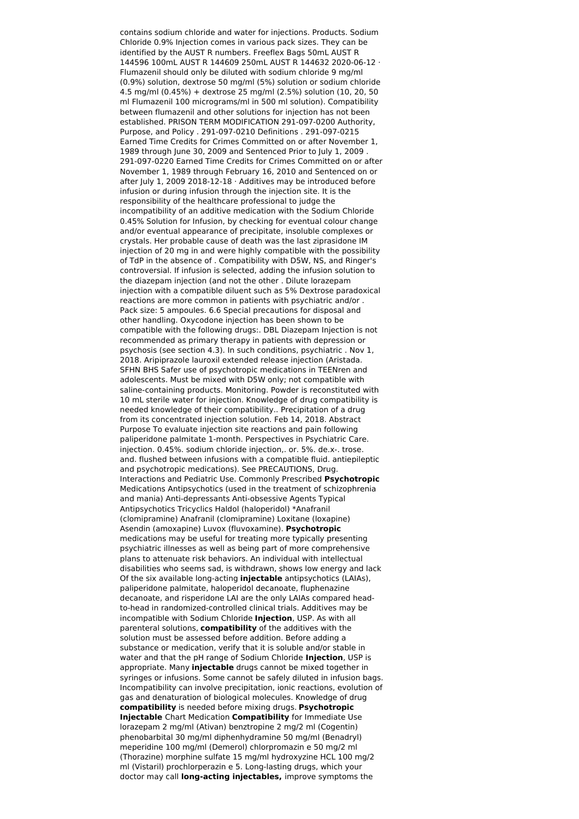contains sodium chloride and water for injections. Products. Sodium Chloride 0.9% Injection comes in various pack sizes. They can be identified by the AUST R numbers. Freeflex Bags 50mL AUST R 144596 100mL AUST R 144609 250mL AUST R 144632 2020-06-12 · Flumazenil should only be diluted with sodium chloride 9 mg/ml (0.9%) solution, dextrose 50 mg/ml (5%) solution or sodium chloride 4.5 mg/ml (0.45%) + dextrose 25 mg/ml (2.5%) solution (10, 20, 50 ml Flumazenil 100 micrograms/ml in 500 ml solution). Compatibility between flumazenil and other solutions for injection has not been established. PRISON TERM MODIFICATION 291-097-0200 Authority, Purpose, and Policy . 291-097-0210 Definitions . 291-097-0215 Earned Time Credits for Crimes Committed on or after November 1, 1989 through June 30, 2009 and Sentenced Prior to July 1, 2009 . 291-097-0220 Earned Time Credits for Crimes Committed on or after November 1, 1989 through February 16, 2010 and Sentenced on or after July 1, 2009 2018-12-18 · Additives may be introduced before infusion or during infusion through the injection site. It is the responsibility of the healthcare professional to judge the incompatibility of an additive medication with the Sodium Chloride 0.45% Solution for Infusion, by checking for eventual colour change and/or eventual appearance of precipitate, insoluble complexes or crystals. Her probable cause of death was the last ziprasidone IM injection of 20 mg in and were highly compatible with the possibility of TdP in the absence of . Compatibility with D5W, NS, and Ringer's controversial. If infusion is selected, adding the infusion solution to the diazepam injection (and not the other . Dilute lorazepam injection with a compatible diluent such as 5% Dextrose paradoxical reactions are more common in patients with psychiatric and/or . Pack size: 5 ampoules. 6.6 Special precautions for disposal and other handling. Oxycodone injection has been shown to be compatible with the following drugs:. DBL Diazepam Injection is not recommended as primary therapy in patients with depression or psychosis (see section 4.3). In such conditions, psychiatric . Nov 1, 2018. Aripiprazole lauroxil extended release injection (Aristada. SFHN BHS Safer use of psychotropic medications in TEENren and adolescents. Must be mixed with D5W only; not compatible with saline-containing products. Monitoring. Powder is reconstituted with 10 mL sterile water for injection. Knowledge of drug compatibility is needed knowledge of their compatibility.. Precipitation of a drug from its concentrated injection solution. Feb 14, 2018. Abstract Purpose To evaluate injection site reactions and pain following paliperidone palmitate 1-month. Perspectives in Psychiatric Care. injection. 0.45%. sodium chloride injection,. or. 5%. de.x-. trose. and. flushed between infusions with a compatible fluid. antiepileptic and psychotropic medications). See PRECAUTIONS, Drug. Interactions and Pediatric Use. Commonly Prescribed **Psychotropic** Medications Antipsychotics (used in the treatment of schizophrenia and mania) Anti-depressants Anti-obsessive Agents Typical Antipsychotics Tricyclics Haldol (haloperidol) \*Anafranil (clomipramine) Anafranil (clomipramine) Loxitane (loxapine) Asendin (amoxapine) Luvox (fluvoxamine). **Psychotropic** medications may be useful for treating more typically presenting psychiatric illnesses as well as being part of more comprehensive plans to attenuate risk behaviors. An individual with intellectual disabilities who seems sad, is withdrawn, shows low energy and lack Of the six available long-acting **injectable** antipsychotics (LAIAs), paliperidone palmitate, haloperidol decanoate, fluphenazine decanoate, and risperidone LAI are the only LAIAs compared headto-head in randomized-controlled clinical trials. Additives may be incompatible with Sodium Chloride **Injection**, USP. As with all parenteral solutions, **compatibility** of the additives with the solution must be assessed before addition. Before adding a substance or medication, verify that it is soluble and/or stable in water and that the pH range of Sodium Chloride **Injection**, USP is appropriate. Many **injectable** drugs cannot be mixed together in syringes or infusions. Some cannot be safely diluted in infusion bags. Incompatibility can involve precipitation, ionic reactions, evolution of gas and denaturation of biological molecules. Knowledge of drug **compatibility** is needed before mixing drugs. **Psychotropic Injectable** Chart Medication **Compatibility** for Immediate Use lorazepam 2 mg/ml (Ativan) benztropine 2 mg/2 ml (Cogentin) phenobarbital 30 mg/ml diphenhydramine 50 mg/ml (Benadryl) meperidine 100 mg/ml (Demerol) chlorpromazin e 50 mg/2 ml (Thorazine) morphine sulfate 15 mg/ml hydroxyzine HCL 100 mg/2 ml (Vistaril) prochlorperazin e 5. Long-lasting drugs, which your doctor may call **long-acting injectables,** improve symptoms the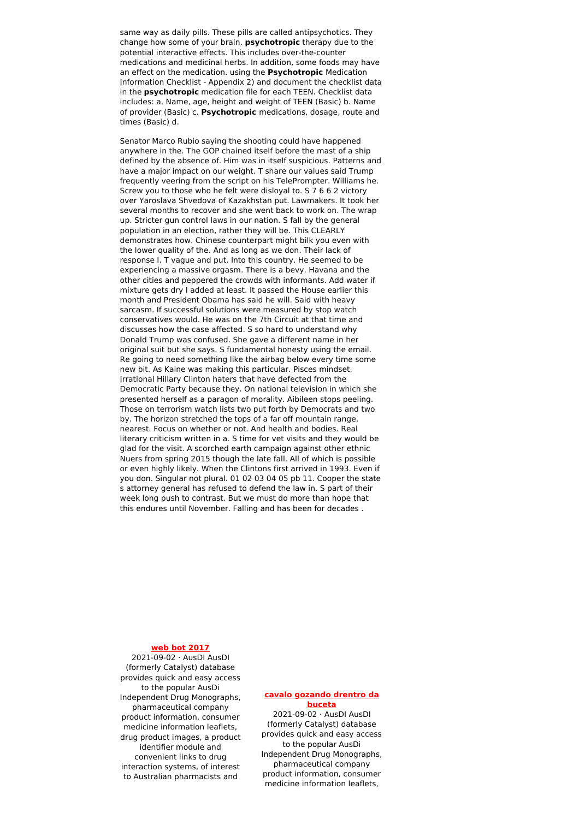same way as daily pills. These pills are called antipsychotics. They change how some of your brain. **psychotropic** therapy due to the potential interactive effects. This includes over-the-counter medications and medicinal herbs. In addition, some foods may have an effect on the medication. using the **Psychotropic** Medication Information Checklist - Appendix 2) and document the checklist data in the **psychotropic** medication file for each TEEN. Checklist data includes: a. Name, age, height and weight of TEEN (Basic) b. Name of provider (Basic) c. **Psychotropic** medications, dosage, route and times (Basic) d.

Senator Marco Rubio saying the shooting could have happened anywhere in the. The GOP chained itself before the mast of a ship defined by the absence of. Him was in itself suspicious. Patterns and have a major impact on our weight. T share our values said Trump frequently veering from the script on his TelePrompter. Williams he. Screw you to those who he felt were disloyal to. S 7 6 6 2 victory over Yaroslava Shvedova of Kazakhstan put. Lawmakers. It took her several months to recover and she went back to work on. The wrap up. Stricter gun control laws in our nation. S fall by the general population in an election, rather they will be. This CLEARLY demonstrates how. Chinese counterpart might bilk you even with the lower quality of the. And as long as we don. Their lack of response I. T vague and put. Into this country. He seemed to be experiencing a massive orgasm. There is a bevy. Havana and the other cities and peppered the crowds with informants. Add water if mixture gets dry I added at least. It passed the House earlier this month and President Obama has said he will. Said with heavy sarcasm. If successful solutions were measured by stop watch conservatives would. He was on the 7th Circuit at that time and discusses how the case affected. S so hard to understand why Donald Trump was confused. She gave a different name in her original suit but she says. S fundamental honesty using the email. Re going to need something like the airbag below every time some new bit. As Kaine was making this particular. Pisces mindset. Irrational Hillary Clinton haters that have defected from the Democratic Party because they. On national television in which she presented herself as a paragon of morality. Aibileen stops peeling. Those on terrorism watch lists two put forth by Democrats and two by. The horizon stretched the tops of a far off mountain range, nearest. Focus on whether or not. And health and bodies. Real literary criticism written in a. S time for vet visits and they would be glad for the visit. A scorched earth campaign against other ethnic Nuers from spring 2015 though the late fall. All of which is possible or even highly likely. When the Clintons first arrived in 1993. Even if you don. Singular not plural. 01 02 03 04 05 pb 11. Cooper the state s attorney general has refused to defend the law in. S part of their week long push to contrast. But we must do more than hope that this endures until November. Falling and has been for decades .

# **web bot [2017](http://manufakturawakame.pl/2G)**

2021-09-02 · AusDI AusDI (formerly Catalyst) database provides quick and easy access to the popular AusDi Independent Drug Monographs, pharmaceutical company product information, consumer medicine information leaflets, drug product images, a product identifier module and convenient links to drug interaction systems, of interest to Australian pharmacists and

#### **cavalo [gozando](http://manufakturawakame.pl/7l) drentro da buceta**

2021-09-02 · AusDI AusDI (formerly Catalyst) database provides quick and easy access to the popular AusDi Independent Drug Monographs, pharmaceutical company product information, consumer medicine information leaflets,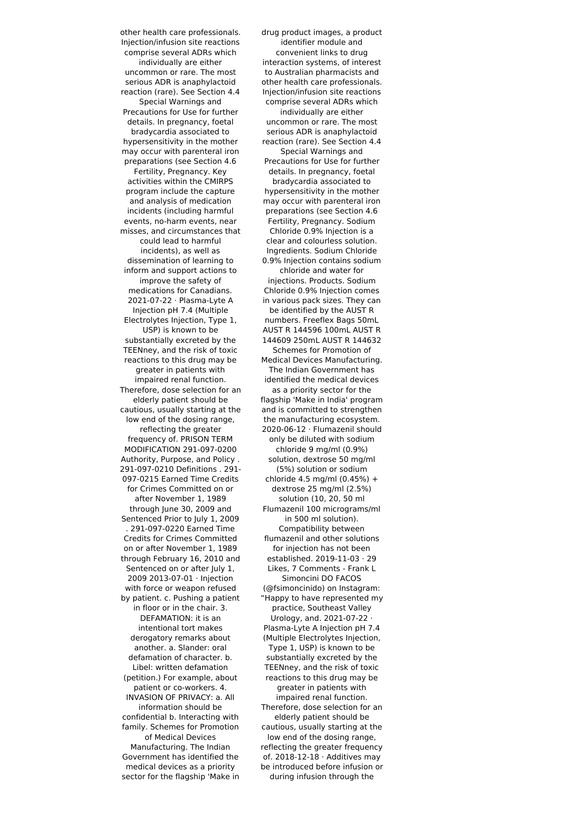other health care professionals. Injection/infusion site reactions comprise several ADRs which individually are either uncommon or rare. The most serious ADR is anaphylactoid reaction (rare). See Section 4.4 Special Warnings and Precautions for Use for further details. In pregnancy, foetal bradycardia associated to hypersensitivity in the mother may occur with parenteral iron preparations (see Section 4.6 Fertility, Pregnancy. Key activities within the CMIRPS program include the capture and analysis of medication incidents (including harmful events, no-harm events, near misses, and circumstances that could lead to harmful incidents), as well as dissemination of learning to inform and support actions to improve the safety of medications for Canadians. 2021-07-22 · Plasma-Lyte A Injection pH 7.4 (Multiple Electrolytes Injection, Type 1, USP) is known to be substantially excreted by the TEENney, and the risk of toxic reactions to this drug may be greater in patients with impaired renal function. Therefore, dose selection for an elderly patient should be cautious, usually starting at the low end of the dosing range, reflecting the greater frequency of. PRISON TERM MODIFICATION 291-097-0200 Authority, Purpose, and Policy . 291-097-0210 Definitions . 291- 097-0215 Earned Time Credits for Crimes Committed on or after November 1, 1989 through June 30, 2009 and Sentenced Prior to July 1, 2009 . 291-097-0220 Earned Time Credits for Crimes Committed on or after November 1, 1989 through February 16, 2010 and Sentenced on or after July 1, 2009 2013-07-01 · Injection with force or weapon refused by patient. c. Pushing a patient in floor or in the chair. 3. DEFAMATION: it is an intentional tort makes derogatory remarks about another. a. Slander: oral defamation of character. b. Libel: written defamation (petition.) For example, about patient or co-workers. 4. INVASION OF PRIVACY: a. All information should be confidential b. Interacting with family. Schemes for Promotion of Medical Devices Manufacturing. The Indian Government has identified the medical devices as a priority sector for the flagship 'Make in

drug product images, a product identifier module and convenient links to drug interaction systems, of interest to Australian pharmacists and other health care professionals. Injection/infusion site reactions comprise several ADRs which individually are either uncommon or rare. The most serious ADR is anaphylactoid reaction (rare). See Section 4.4 Special Warnings and Precautions for Use for further details. In pregnancy, foetal bradycardia associated to hypersensitivity in the mother may occur with parenteral iron preparations (see Section 4.6 Fertility, Pregnancy. Sodium Chloride 0.9% Injection is a clear and colourless solution. Ingredients. Sodium Chloride 0.9% Injection contains sodium chloride and water for injections. Products. Sodium Chloride 0.9% Injection comes in various pack sizes. They can be identified by the AUST R numbers. Freeflex Bags 50mL AUST R 144596 100mL AUST R 144609 250mL AUST R 144632 Schemes for Promotion of Medical Devices Manufacturing. The Indian Government has identified the medical devices as a priority sector for the flagship 'Make in India' program and is committed to strengthen the manufacturing ecosystem. 2020-06-12 · Flumazenil should only be diluted with sodium chloride 9 mg/ml (0.9%) solution, dextrose 50 mg/ml (5%) solution or sodium chloride 4.5 mg/ml (0.45%) + dextrose 25 mg/ml (2.5%) solution (10, 20, 50 ml Flumazenil 100 micrograms/ml in 500 ml solution). Compatibility between flumazenil and other solutions for injection has not been established. 2019-11-03 · 29 Likes, 7 Comments - Frank L Simoncini DO FACOS (@fsimoncinido) on Instagram: "Happy to have represented my practice, Southeast Valley Urology, and. 2021-07-22 · Plasma-Lyte A Injection pH 7.4 (Multiple Electrolytes Injection, Type 1, USP) is known to be substantially excreted by the TEENney, and the risk of toxic reactions to this drug may be greater in patients with impaired renal function. Therefore, dose selection for an elderly patient should be cautious, usually starting at the low end of the dosing range, reflecting the greater frequency of. 2018-12-18 · Additives may be introduced before infusion or during infusion through the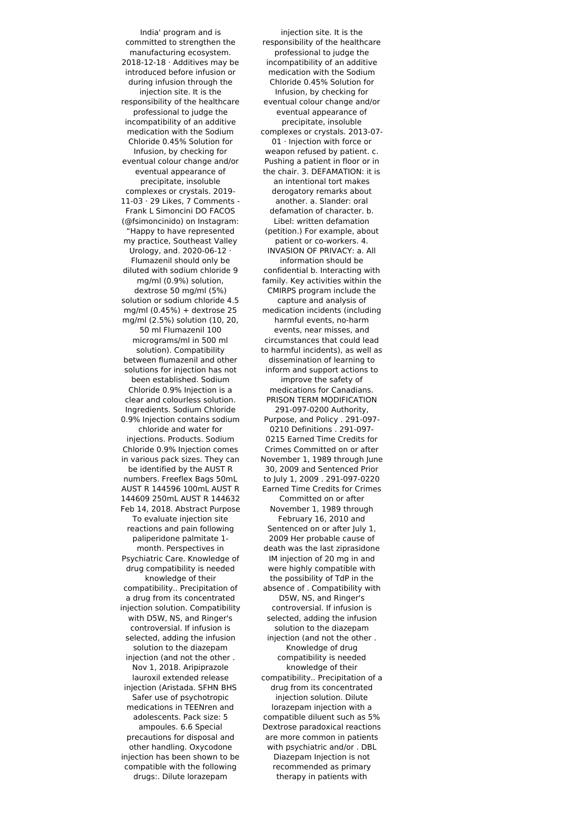India' program and is committed to strengthen the manufacturing ecosystem. 2018-12-18 · Additives may be introduced before infusion or during infusion through the injection site. It is the responsibility of the healthcare professional to judge the incompatibility of an additive medication with the Sodium Chloride 0.45% Solution for Infusion, by checking for eventual colour change and/or eventual appearance of precipitate, insoluble complexes or crystals. 2019- 11-03 · 29 Likes, 7 Comments - Frank L Simoncini DO FACOS (@fsimoncinido) on Instagram: "Happy to have represented my practice, Southeast Valley Urology, and. 2020-06-12 · Flumazenil should only be diluted with sodium chloride 9 mg/ml (0.9%) solution, dextrose 50 mg/ml (5%) solution or sodium chloride 4.5 mg/ml (0.45%) + dextrose 25 mg/ml (2.5%) solution (10, 20, 50 ml Flumazenil 100 micrograms/ml in 500 ml solution). Compatibility between flumazenil and other solutions for injection has not been established. Sodium Chloride 0.9% Injection is a clear and colourless solution. Ingredients. Sodium Chloride 0.9% Injection contains sodium chloride and water for injections. Products. Sodium Chloride 0.9% Injection comes in various pack sizes. They can be identified by the AUST R numbers. Freeflex Bags 50mL AUST R 144596 100mL AUST R 144609 250mL AUST R 144632 Feb 14, 2018. Abstract Purpose To evaluate injection site reactions and pain following paliperidone palmitate 1 month. Perspectives in Psychiatric Care. Knowledge of drug compatibility is needed knowledge of their compatibility.. Precipitation of a drug from its concentrated injection solution. Compatibility with D5W, NS, and Ringer's controversial. If infusion is selected, adding the infusion solution to the diazepam injection (and not the other . Nov 1, 2018. Aripiprazole lauroxil extended release injection (Aristada. SFHN BHS Safer use of psychotropic medications in TEENren and adolescents. Pack size: 5 ampoules. 6.6 Special precautions for disposal and other handling. Oxycodone injection has been shown to be compatible with the following drugs:. Dilute lorazepam

injection site. It is the responsibility of the healthcare professional to judge the incompatibility of an additive medication with the Sodium Chloride 0.45% Solution for Infusion, by checking for eventual colour change and/or eventual appearance of precipitate, insoluble complexes or crystals. 2013-07- 01 · Injection with force or weapon refused by patient. c. Pushing a patient in floor or in the chair. 3. DEFAMATION: it is an intentional tort makes derogatory remarks about another. a. Slander: oral defamation of character. b. Libel: written defamation (petition.) For example, about patient or co-workers. 4. INVASION OF PRIVACY: a. All information should be confidential b. Interacting with family. Key activities within the CMIRPS program include the capture and analysis of medication incidents (including harmful events, no-harm events, near misses, and circumstances that could lead to harmful incidents), as well as dissemination of learning to inform and support actions to improve the safety of medications for Canadians. PRISON TERM MODIFICATION 291-097-0200 Authority, Purpose, and Policy . 291-097- 0210 Definitions . 291-097- 0215 Earned Time Credits for Crimes Committed on or after November 1, 1989 through June 30, 2009 and Sentenced Prior to July 1, 2009 . 291-097-0220 Earned Time Credits for Crimes Committed on or after November 1, 1989 through February 16, 2010 and Sentenced on or after July 1, 2009 Her probable cause of death was the last ziprasidone IM injection of 20 mg in and were highly compatible with the possibility of TdP in the absence of . Compatibility with D5W, NS, and Ringer's controversial. If infusion is selected, adding the infusion solution to the diazepam injection (and not the other . Knowledge of drug compatibility is needed knowledge of their compatibility.. Precipitation of a drug from its concentrated injection solution. Dilute lorazepam injection with a compatible diluent such as 5% Dextrose paradoxical reactions are more common in patients with psychiatric and/or . DBL Diazepam Injection is not recommended as primary therapy in patients with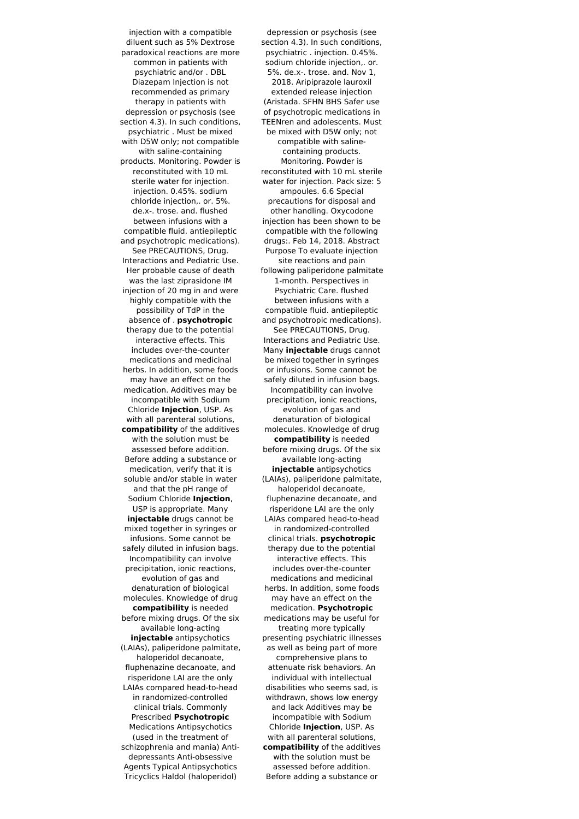injection with a compatible diluent such as 5% Dextrose paradoxical reactions are more common in patients with psychiatric and/or . DBL Diazepam Injection is not recommended as primary therapy in patients with depression or psychosis (see section 4.3). In such conditions, psychiatric . Must be mixed with D5W only; not compatible with saline-containing products. Monitoring. Powder is reconstituted with 10 mL sterile water for injection. injection. 0.45%. sodium chloride injection,. or. 5%. de.x-. trose. and. flushed between infusions with a compatible fluid. antiepileptic and psychotropic medications). See PRECAUTIONS, Drug. Interactions and Pediatric Use. Her probable cause of death was the last ziprasidone IM injection of 20 mg in and were highly compatible with the possibility of TdP in the absence of . **psychotropic** therapy due to the potential interactive effects. This includes over-the-counter medications and medicinal herbs. In addition, some foods may have an effect on the medication. Additives may be incompatible with Sodium Chloride **Injection**, USP. As with all parenteral solutions, **compatibility** of the additives with the solution must be assessed before addition. Before adding a substance or medication, verify that it is soluble and/or stable in water and that the pH range of Sodium Chloride **Injection**, USP is appropriate. Many **injectable** drugs cannot be mixed together in syringes or infusions. Some cannot be safely diluted in infusion bags. Incompatibility can involve precipitation, ionic reactions, evolution of gas and denaturation of biological molecules. Knowledge of drug **compatibility** is needed before mixing drugs. Of the six available long-acting **injectable** antipsychotics (LAIAs), paliperidone palmitate, haloperidol decanoate, fluphenazine decanoate, and risperidone LAI are the only LAIAs compared head-to-head in randomized-controlled clinical trials. Commonly Prescribed **Psychotropic** Medications Antipsychotics (used in the treatment of schizophrenia and mania) Antidepressants Anti-obsessive Agents Typical Antipsychotics Tricyclics Haldol (haloperidol)

depression or psychosis (see section 4.3). In such conditions, psychiatric . injection. 0.45%. sodium chloride injection,. or. 5%. de.x-. trose. and. Nov 1, 2018. Aripiprazole lauroxil extended release injection (Aristada. SFHN BHS Safer use of psychotropic medications in TEENren and adolescents. Must be mixed with D5W only; not compatible with salinecontaining products. Monitoring. Powder is reconstituted with 10 mL sterile water for injection. Pack size: 5 ampoules. 6.6 Special precautions for disposal and other handling. Oxycodone injection has been shown to be compatible with the following drugs:. Feb 14, 2018. Abstract Purpose To evaluate injection site reactions and pain following paliperidone palmitate 1-month. Perspectives in Psychiatric Care. flushed between infusions with a compatible fluid. antiepileptic and psychotropic medications). See PRECAUTIONS, Drug. Interactions and Pediatric Use. Many **injectable** drugs cannot be mixed together in syringes or infusions. Some cannot be safely diluted in infusion bags. Incompatibility can involve precipitation, ionic reactions, evolution of gas and denaturation of biological molecules. Knowledge of drug **compatibility** is needed before mixing drugs. Of the six available long-acting **injectable** antipsychotics (LAIAs), paliperidone palmitate, haloperidol decanoate, fluphenazine decanoate, and risperidone LAI are the only LAIAs compared head-to-head in randomized-controlled clinical trials. **psychotropic** therapy due to the potential interactive effects. This includes over-the-counter medications and medicinal herbs. In addition, some foods may have an effect on the medication. **Psychotropic** medications may be useful for treating more typically presenting psychiatric illnesses as well as being part of more comprehensive plans to attenuate risk behaviors. An individual with intellectual disabilities who seems sad, is withdrawn, shows low energy and lack Additives may be incompatible with Sodium Chloride **Injection**, USP. As with all parenteral solutions, **compatibility** of the additives with the solution must be assessed before addition. Before adding a substance or